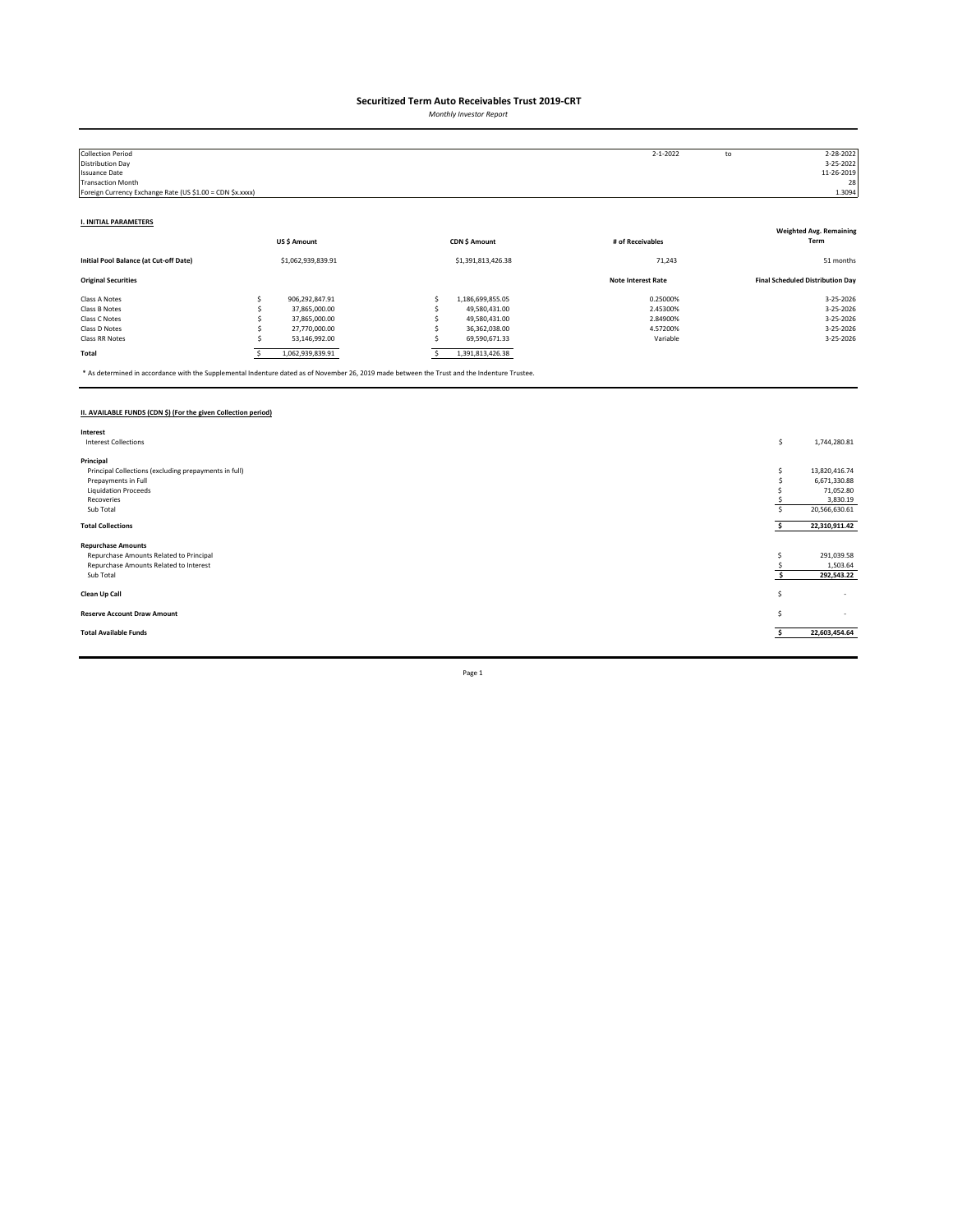*Monthly Investor Report*

| <b>Collection Period</b>                                  |                    |                    | $2 - 1 - 2022$            | to | 2-28-2022                               |
|-----------------------------------------------------------|--------------------|--------------------|---------------------------|----|-----------------------------------------|
| Distribution Day                                          |                    |                    |                           |    | 3-25-2022                               |
| <b>Issuance Date</b>                                      |                    |                    |                           |    | 11-26-2019                              |
| <b>Transaction Month</b>                                  |                    |                    |                           |    | 28                                      |
| Foreign Currency Exchange Rate (US \$1.00 = CDN \$x.xxxx) |                    |                    |                           |    | 1.3094                                  |
|                                                           |                    |                    |                           |    |                                         |
| <b>I. INITIAL PARAMETERS</b>                              |                    |                    |                           |    |                                         |
|                                                           |                    |                    |                           |    | <b>Weighted Avg. Remaining</b>          |
|                                                           | US\$ Amount        | CDN \$ Amount      | # of Receivables          |    | Term                                    |
| Initial Pool Balance (at Cut-off Date)                    | \$1,062,939,839.91 | \$1,391,813,426.38 | 71,243                    |    | 51 months                               |
| <b>Original Securities</b>                                |                    |                    | <b>Note Interest Rate</b> |    | <b>Final Scheduled Distribution Day</b> |
| Class A Notes                                             | 906,292,847.91     | 1,186,699,855.05   | 0.25000%                  |    | 3-25-2026                               |
| Class B Notes                                             | 37,865,000.00      | 49,580,431.00      | 2.45300%                  |    | 3-25-2026                               |
| Class C Notes                                             | 37,865,000.00      | 49,580,431.00      | 2.84900%                  |    | 3-25-2026                               |
| Class D Notes                                             | 27,770,000.00      | 36,362,038.00      | 4.57200%                  |    | 3-25-2026                               |
| Class RR Notes                                            | 53,146,992.00      | 69,590,671.33      | Variable                  |    | 3-25-2026                               |
| Total                                                     | 1,062,939,839.91   | 1,391,813,426.38   |                           |    |                                         |

\* As determined in accordance with the Supplemental Indenture dated as of November 26, 2019 made between the Trust and the Indenture Trustee.

### **II. AVAILABLE FUNDS (CDN \$) (For the given Collection period)**

| Interest                                              |    |                          |
|-------------------------------------------------------|----|--------------------------|
| <b>Interest Collections</b>                           | \$ | 1,744,280.81             |
|                                                       |    |                          |
| Principal                                             |    |                          |
| Principal Collections (excluding prepayments in full) |    | 13,820,416.74            |
| Prepayments in Full                                   |    | 6,671,330.88             |
| <b>Liquidation Proceeds</b>                           |    | 71,052.80                |
| Recoveries                                            |    | 3,830.19                 |
| Sub Total                                             |    | 20,566,630.61            |
|                                                       |    |                          |
| <b>Total Collections</b>                              |    | 22,310,911.42            |
|                                                       |    |                          |
| <b>Repurchase Amounts</b>                             |    |                          |
| Repurchase Amounts Related to Principal               |    | 291,039.58               |
| Repurchase Amounts Related to Interest                |    | 1,503.64                 |
| Sub Total                                             |    | 292,543.22               |
|                                                       |    |                          |
| Clean Up Call                                         | s  | $\overline{\phantom{a}}$ |
|                                                       |    |                          |
| <b>Reserve Account Draw Amount</b>                    | S  | $\sim$                   |
|                                                       |    |                          |
| <b>Total Available Funds</b>                          |    | 22,603,454.64            |
|                                                       |    |                          |
|                                                       |    |                          |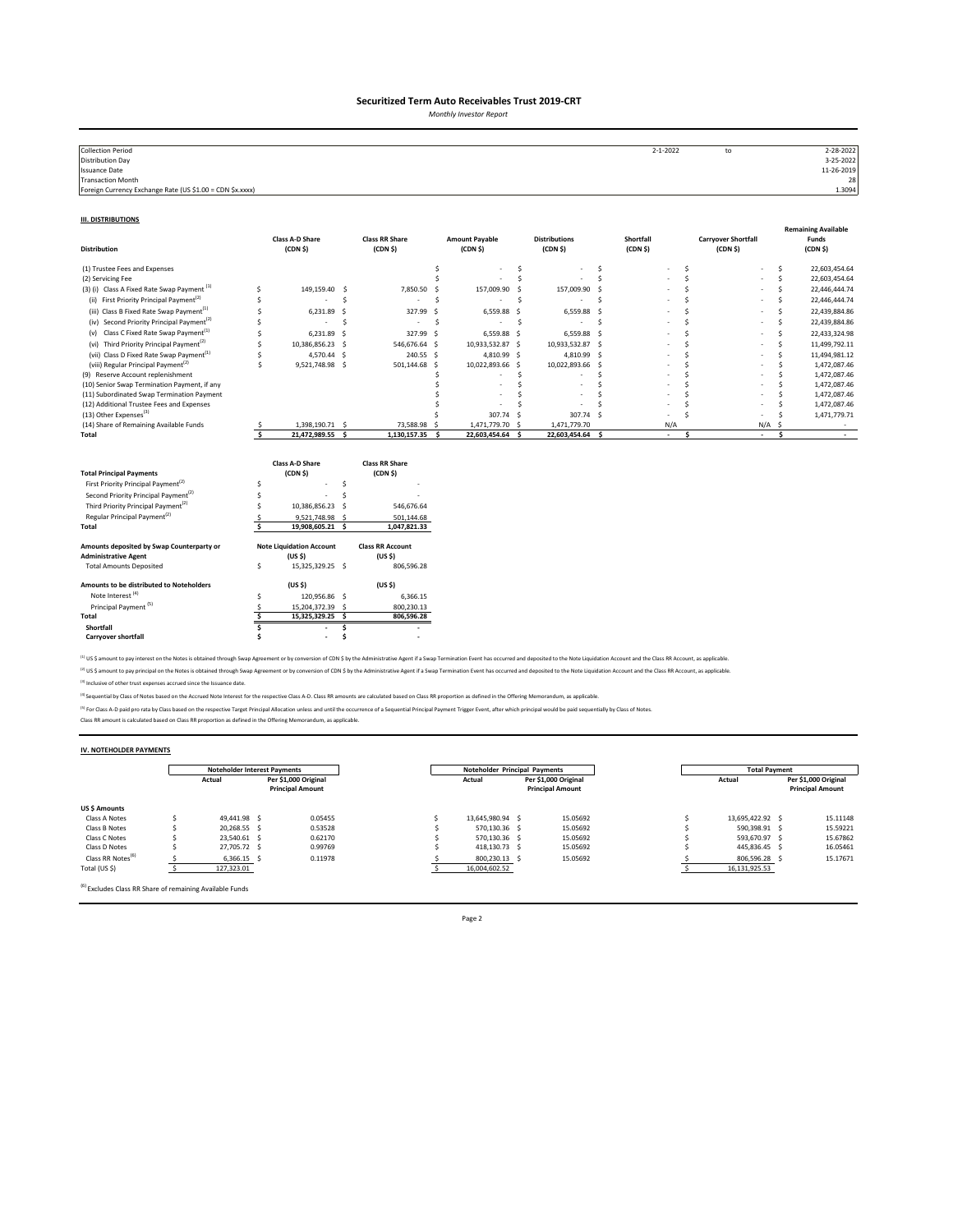*Monthly Investor Report*

| <b>Collection Period</b>                                  | $2 - 1 - 2022$ | to | 2-28-2022  |
|-----------------------------------------------------------|----------------|----|------------|
| <b>Distribution Day</b>                                   |                |    | 3-25-2022  |
| <b>Issuance Date</b>                                      |                |    | 11-26-2019 |
| <b>Transaction Month</b>                                  |                |    | 28         |
| Foreign Currency Exchange Rate (US \$1.00 = CDN \$x.xxxx) |                |    | 1.3094     |

#### **III. DISTRIBUTIONS**

| <b>Distribution</b>                                                                                                                                                                                                                                                                         |        | <b>Class A-D Share</b><br>(CDN <sub>5</sub> )                                                                                     |              | <b>Class RR Share</b><br>(CDN <sub>5</sub> )                                                                        |     | <b>Amount Payable</b><br>(CDN <sub>5</sub> ) |    | <b>Distributions</b><br>(CDN S) |          | Shortfall<br>(CDN <sub>5</sub> ) |              | <b>Carryover Shortfall</b><br>(CDN <sub>5</sub> ) |        |     | <b>Remaining Available</b><br>Funds<br>(CDN <sub>5</sub> ) |
|---------------------------------------------------------------------------------------------------------------------------------------------------------------------------------------------------------------------------------------------------------------------------------------------|--------|-----------------------------------------------------------------------------------------------------------------------------------|--------------|---------------------------------------------------------------------------------------------------------------------|-----|----------------------------------------------|----|---------------------------------|----------|----------------------------------|--------------|---------------------------------------------------|--------|-----|------------------------------------------------------------|
| (1) Trustee Fees and Expenses                                                                                                                                                                                                                                                               |        |                                                                                                                                   |              |                                                                                                                     | \$  |                                              | \$ |                                 | Ŝ        |                                  | Ŝ            |                                                   |        | s   | 22,603,454.64                                              |
| (2) Servicing Fee                                                                                                                                                                                                                                                                           |        |                                                                                                                                   |              |                                                                                                                     |     |                                              | Ś  |                                 | Ś        |                                  | <sup>s</sup> |                                                   |        | Ś   | 22,603,454.64                                              |
| (3) (i) Class A Fixed Rate Swap Payment <sup>(1)</sup>                                                                                                                                                                                                                                      | Ś      | 149,159.40                                                                                                                        | -S           | 7,850.50                                                                                                            | - 5 | 157,009.90                                   |    | 157,009.90 \$                   |          |                                  |              |                                                   |        | Š.  | 22,446,444.74                                              |
| First Priority Principal Payment <sup>(2)</sup><br>(ii)                                                                                                                                                                                                                                     | Ś      |                                                                                                                                   | Ś            | ٠                                                                                                                   | .S  |                                              | .s |                                 | <b>S</b> |                                  |              |                                                   |        | Š.  | 22,446,444.74                                              |
| (iii) Class B Fixed Rate Swap Payment <sup>(1)</sup>                                                                                                                                                                                                                                        |        | 6,231.89                                                                                                                          | .S           | 327.99                                                                                                              | s.  | 6,559.88 \$                                  |    | 6,559.88 \$                     |          |                                  |              |                                                   |        | Š.  | 22,439,884.86                                              |
| (iv) Second Priority Principal Payment <sup>(2)</sup>                                                                                                                                                                                                                                       |        |                                                                                                                                   | Ŝ            | ٠                                                                                                                   | -S  |                                              | S. |                                 | .s       |                                  |              |                                                   |        | Š.  | 22,439,884.86                                              |
| (v) Class C Fixed Rate Swap Payment <sup>(1)</sup>                                                                                                                                                                                                                                          | Ś      | 6,231.89                                                                                                                          | -Ś           | 327.99 \$                                                                                                           |     | 6,559.88 \$                                  |    | 6,559.88 \$                     |          |                                  |              |                                                   |        | Ś   | 22,433,324.98                                              |
| (vi) Third Priority Principal Payment <sup>(2)</sup>                                                                                                                                                                                                                                        | Ś      | 10,386,856.23 \$                                                                                                                  |              | 546,676.64 \$                                                                                                       |     | 10,933,532.87 \$                             |    | 10,933,532.87 \$                |          |                                  | Ś            |                                                   |        | Ś   | 11,499,792.11                                              |
| (vii) Class D Fixed Rate Swap Payment <sup>(1)</sup>                                                                                                                                                                                                                                        |        | 4,570.44 \$                                                                                                                       |              | 240.55 \$                                                                                                           |     | 4,810.99 \$                                  |    | 4,810.99 \$                     |          |                                  |              |                                                   |        | Š.  | 11,494,981.12                                              |
| (viii) Regular Principal Payment <sup>(2)</sup>                                                                                                                                                                                                                                             | Ś      | 9,521,748.98 \$                                                                                                                   |              | 501,144.68 \$                                                                                                       |     | 10,022,893.66 \$                             |    | 10,022,893.66 \$                |          |                                  |              |                                                   |        | ¢   | 1,472,087.46                                               |
| (9) Reserve Account replenishment                                                                                                                                                                                                                                                           |        |                                                                                                                                   |              |                                                                                                                     |     |                                              | Ś  |                                 |          |                                  |              |                                                   |        |     | 1,472,087.46                                               |
| (10) Senior Swap Termination Payment, if any                                                                                                                                                                                                                                                |        |                                                                                                                                   |              |                                                                                                                     |     |                                              | Ś  |                                 |          |                                  |              |                                                   |        |     | 1,472,087.46<br>1,472,087.46                               |
| (11) Subordinated Swap Termination Payment<br>(12) Additional Trustee Fees and Expenses                                                                                                                                                                                                     |        |                                                                                                                                   |              |                                                                                                                     |     |                                              |    |                                 |          |                                  |              |                                                   |        |     | 1,472,087.46                                               |
| (13) Other Expenses <sup>(3)</sup>                                                                                                                                                                                                                                                          |        |                                                                                                                                   |              |                                                                                                                     |     | 307.74 S                                     |    | 307.74 \$                       |          |                                  |              |                                                   |        |     |                                                            |
| (14) Share of Remaining Available Funds                                                                                                                                                                                                                                                     |        | 1,398,190.71 \$                                                                                                                   |              | 73,588.98                                                                                                           | - S | 1,471,779.70 \$                              |    | 1,471,779.70                    |          | N/A                              |              |                                                   | N/A    | .S  | 1,471,779.71                                               |
| Total                                                                                                                                                                                                                                                                                       | Ś.     | 21,472,989.55 \$                                                                                                                  |              | 1,130,157.35 \$                                                                                                     |     | 22,603,454.64                                | Ŝ. | 22,603,454.64 \$                |          | ×.                               | Ś            |                                                   | $\sim$ | \$. | $\sim$                                                     |
| <b>Total Principal Payments</b><br>First Priority Principal Payment <sup>(2)</sup><br>Second Priority Principal Payment <sup>(2)</sup><br>Third Priority Principal Payment <sup>(2)</sup><br>Regular Principal Payment <sup>(2)</sup><br>Total<br>Amounts deposited by Swap Counterparty or | Ś<br>Ś | Class A-D Share<br>(CDN <sub>5</sub> )<br>10,386,856.23<br>9,521,748.98 \$<br>19,908,605.21 \$<br><b>Note Liquidation Account</b> | Ś<br>¢<br>-S | <b>Class RR Share</b><br>(CDN <sub>5</sub> )<br>546,676.64<br>501,144.68<br>1,047,821.33<br><b>Class RR Account</b> |     |                                              |    |                                 |          |                                  |              |                                                   |        |     |                                                            |
| <b>Administrative Agent</b>                                                                                                                                                                                                                                                                 |        | (US S)                                                                                                                            |              | (US <sub>5</sub> )                                                                                                  |     |                                              |    |                                 |          |                                  |              |                                                   |        |     |                                                            |
| <b>Total Amounts Deposited</b>                                                                                                                                                                                                                                                              | \$     | 15,325,329.25 \$                                                                                                                  |              | 806,596.28                                                                                                          |     |                                              |    |                                 |          |                                  |              |                                                   |        |     |                                                            |
| Amounts to be distributed to Noteholders                                                                                                                                                                                                                                                    |        | (US S)                                                                                                                            |              | (US S)                                                                                                              |     |                                              |    |                                 |          |                                  |              |                                                   |        |     |                                                            |
| Note Interest <sup>(4)</sup>                                                                                                                                                                                                                                                                | Ś      | 120,956.86 \$                                                                                                                     |              | 6,366.15                                                                                                            |     |                                              |    |                                 |          |                                  |              |                                                   |        |     |                                                            |
| Principal Payment <sup>(5)</sup>                                                                                                                                                                                                                                                            | S      | 15,204,372.39 \$                                                                                                                  |              | 800,230.13                                                                                                          |     |                                              |    |                                 |          |                                  |              |                                                   |        |     |                                                            |
| Total                                                                                                                                                                                                                                                                                       | Š.     | 15,325,329.25 \$                                                                                                                  |              | 806,596.28                                                                                                          |     |                                              |    |                                 |          |                                  |              |                                                   |        |     |                                                            |
| Shortfall                                                                                                                                                                                                                                                                                   |        |                                                                                                                                   | Ś            |                                                                                                                     |     |                                              |    |                                 |          |                                  |              |                                                   |        |     |                                                            |
| <b>Carryover shortfall</b>                                                                                                                                                                                                                                                                  |        | $\overline{\phantom{a}}$                                                                                                          |              |                                                                                                                     |     |                                              |    |                                 |          |                                  |              |                                                   |        |     |                                                            |

<sup>(1)</sup> US \$ amount to pay interest on the Notes is obtained through Swap Agreement or by conversion of CDN \$ by the Administrative Agent if a Swap Termination Event has occurred and deposited to the Note Liquidation Account <sup>(2)</sup> US \$ amount to pay principal on the Notes is obtained through Swap Agreement or by conversion of CDN \$ by the Administrative Agent if a Swap Termination Event has occurred and deposited to the Note Liquidation Accoun

(3) Inclusive of other trust expenses accrued since the Issuance date.

<sup>(4)</sup> Sequential by Class of Notes based on the Accrued Note Interest for the respective Class A-D. Class RR amounts are calculated based on Class RR proportion as defined in the Offering Memorandum, as applicable.

<sup>P)</sup> For Class A-D paid pro rata by Class based on the respective Target Principal Allocation unless and until the occurrence of a Sequential Principal Payment Trigger Event, after which principal would be paid sequentiall

#### **IV. NOTEHOLDER PAYMENTS**

|                               | <b>Noteholder Interest Payments</b>                       |               |  | <b>Noteholder Principal Payments</b> |                                                 |  | <b>Total Payment</b> |                  |                                                 |          |  |
|-------------------------------|-----------------------------------------------------------|---------------|--|--------------------------------------|-------------------------------------------------|--|----------------------|------------------|-------------------------------------------------|----------|--|
|                               | Per \$1.000 Original<br>Actual<br><b>Principal Amount</b> |               |  | Actual                               | Per \$1.000 Original<br><b>Principal Amount</b> |  | Actual               |                  | Per \$1.000 Original<br><b>Principal Amount</b> |          |  |
| US \$ Amounts                 |                                                           |               |  |                                      |                                                 |  |                      |                  |                                                 |          |  |
| Class A Notes                 |                                                           | 49.441.98 S   |  | 0.05455                              | 13.645.980.94 \$                                |  | 15.05692             | 13.695.422.92 \$ |                                                 | 15.11148 |  |
| Class B Notes                 |                                                           | 20.268.55 S   |  | 0.53528                              | 570.130.36 \$                                   |  | 15.05692             | 590.398.91 \$    |                                                 | 15.59221 |  |
| Class C Notes                 |                                                           | 23.540.61 \$  |  | 0.62170                              | 570.130.36 \$                                   |  | 15.05692             | 593.670.97 \$    |                                                 | 15.67862 |  |
| Class D Notes                 |                                                           | 27.705.72 \$  |  | 0.99769                              | 418,130.73 \$                                   |  | 15.05692             | 445.836.45 \$    |                                                 | 16.05461 |  |
| Class RR Notes <sup>(6)</sup> |                                                           | $6.366.15$ \$ |  | 0.11978                              | 800.230.13 \$                                   |  | 15.05692             | 806.596.28 \$    |                                                 | 15.17671 |  |
| Total (US \$)                 |                                                           | 127,323.01    |  |                                      | 16,004,602.52                                   |  |                      | 16,131,925.53    |                                                 |          |  |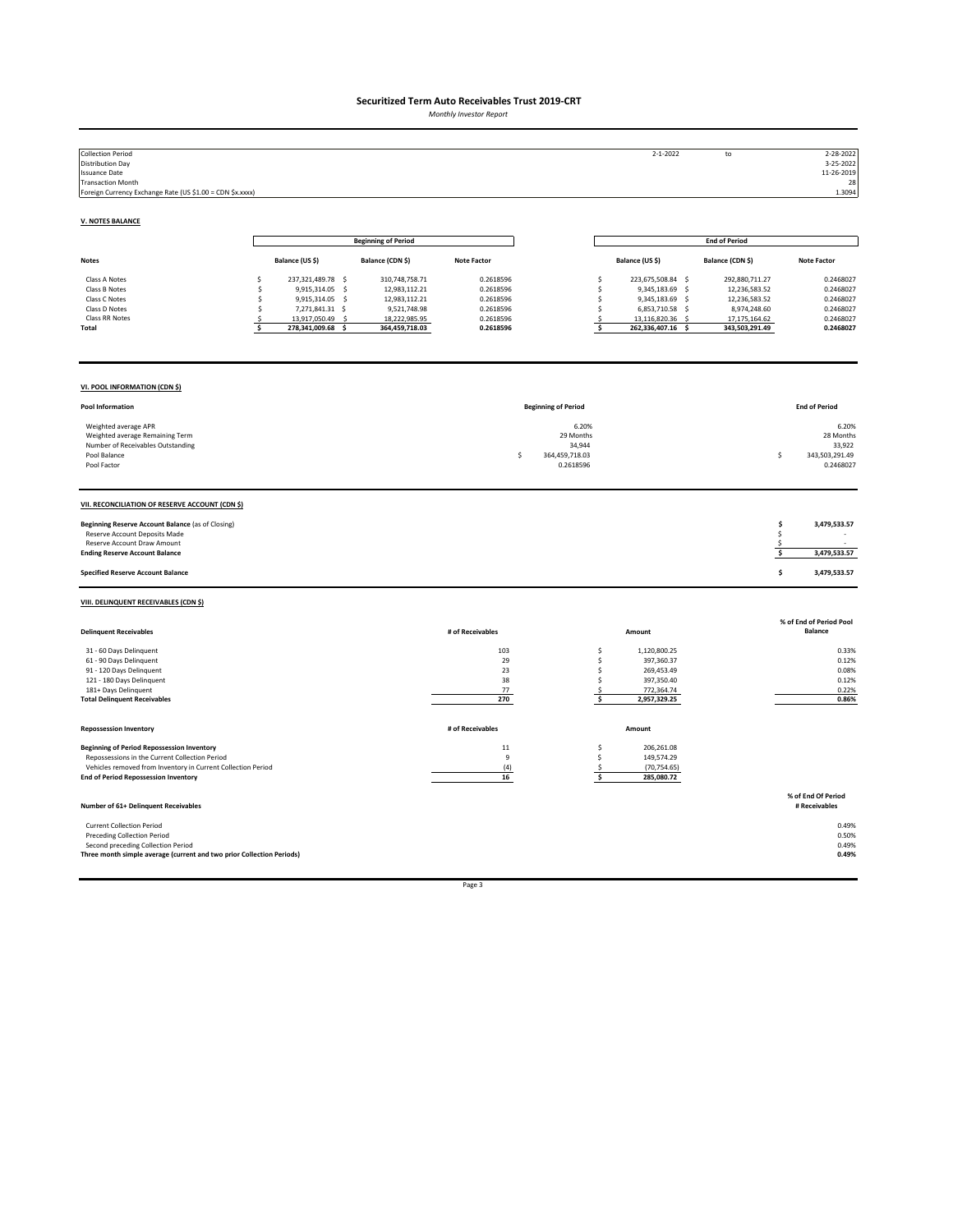*Monthly Investor Report*

| <b>Collection Period</b><br><b>Distribution Day</b><br><b>Issuance Date</b><br><b>Transaction Month</b><br>Foreign Currency Exchange Rate (US \$1.00 = CDN \$x.xxxx)                                               |                                                                                                                                                        |                                                                                                     |                                                                            |                                                                  | $2 - 1 - 2022$                                                                                                                                           | ${\sf to}$                                                                                          | 2-28-2022<br>3-25-2022<br>11-26-2019<br>28<br>1.3094                       |
|--------------------------------------------------------------------------------------------------------------------------------------------------------------------------------------------------------------------|--------------------------------------------------------------------------------------------------------------------------------------------------------|-----------------------------------------------------------------------------------------------------|----------------------------------------------------------------------------|------------------------------------------------------------------|----------------------------------------------------------------------------------------------------------------------------------------------------------|-----------------------------------------------------------------------------------------------------|----------------------------------------------------------------------------|
| <b>V. NOTES BALANCE</b>                                                                                                                                                                                            |                                                                                                                                                        |                                                                                                     |                                                                            |                                                                  |                                                                                                                                                          |                                                                                                     |                                                                            |
|                                                                                                                                                                                                                    |                                                                                                                                                        | <b>Beginning of Period</b>                                                                          |                                                                            |                                                                  |                                                                                                                                                          | <b>End of Period</b>                                                                                |                                                                            |
| <b>Notes</b>                                                                                                                                                                                                       | Balance (US \$)                                                                                                                                        | Balance (CDN \$)                                                                                    | <b>Note Factor</b>                                                         |                                                                  | Balance (US \$)                                                                                                                                          | Balance (CDN \$)                                                                                    | <b>Note Factor</b>                                                         |
| Class A Notes<br>Class B Notes<br>Class C Notes<br>Class D Notes<br>Class RR Notes<br>Total                                                                                                                        | 237,321,489.78 \$<br>\$<br>9,915,314.05 \$<br>\$<br>9,915,314.05 \$<br>s.<br>7,271,841.31 \$<br>Ś<br>13,917,050.49 \$<br>-\$<br>s<br>278,341,009.68 \$ | 310,748,758.71<br>12,983,112.21<br>12,983,112.21<br>9,521,748.98<br>18,222,985.95<br>364,459,718.03 | 0.2618596<br>0.2618596<br>0.2618596<br>0.2618596<br>0.2618596<br>0.2618596 |                                                                  | 223,675,508.84 \$<br>\$<br>\$<br>9,345,183.69 \$<br>\$<br>9,345,183.69 \$<br>\$<br>6,853,710.58 \$<br>13,116,820.36 \$<br>\$.<br>\$<br>262,336,407.16 \$ | 292,880,711.27<br>12,236,583.52<br>12,236,583.52<br>8,974,248.60<br>17,175,164.62<br>343,503,291.49 | 0.2468027<br>0.2468027<br>0.2468027<br>0.2468027<br>0.2468027<br>0.2468027 |
| VI. POOL INFORMATION (CDN \$)                                                                                                                                                                                      |                                                                                                                                                        |                                                                                                     |                                                                            |                                                                  |                                                                                                                                                          |                                                                                                     |                                                                            |
| Pool Information                                                                                                                                                                                                   |                                                                                                                                                        |                                                                                                     |                                                                            | <b>Beginning of Period</b>                                       |                                                                                                                                                          |                                                                                                     | <b>End of Period</b>                                                       |
| Weighted average APR<br>Weighted average Remaining Term<br>Number of Receivables Outstanding<br>Pool Balance<br>Pool Factor                                                                                        |                                                                                                                                                        |                                                                                                     |                                                                            | 6.20%<br>29 Months<br>34,944<br>364,459,718.03<br>Ś<br>0.2618596 |                                                                                                                                                          |                                                                                                     | 6.20%<br>28 Months<br>33,922<br>343,503,291.49<br>s.<br>0.2468027          |
| VII. RECONCILIATION OF RESERVE ACCOUNT (CDN \$)                                                                                                                                                                    |                                                                                                                                                        |                                                                                                     |                                                                            |                                                                  |                                                                                                                                                          |                                                                                                     |                                                                            |
| Beginning Reserve Account Balance (as of Closing)<br>Reserve Account Deposits Made<br>Reserve Account Draw Amount<br><b>Ending Reserve Account Balance</b>                                                         |                                                                                                                                                        |                                                                                                     |                                                                            |                                                                  |                                                                                                                                                          |                                                                                                     | \$<br>3,479,533.57<br>\$<br>\$<br>\$<br>3,479,533.57                       |
| <b>Specified Reserve Account Balance</b>                                                                                                                                                                           |                                                                                                                                                        |                                                                                                     |                                                                            |                                                                  |                                                                                                                                                          |                                                                                                     | \$<br>3,479,533.57                                                         |
| VIII. DELINQUENT RECEIVABLES (CDN \$)                                                                                                                                                                              |                                                                                                                                                        |                                                                                                     |                                                                            |                                                                  |                                                                                                                                                          |                                                                                                     |                                                                            |
| <b>Delinquent Receivables</b>                                                                                                                                                                                      |                                                                                                                                                        |                                                                                                     | # of Receivables                                                           |                                                                  | Amount                                                                                                                                                   |                                                                                                     | % of End of Period Pool<br><b>Balance</b>                                  |
| 31 - 60 Days Delinquent<br>61 - 90 Days Delinquent<br>91 - 120 Days Delinquent<br>121 - 180 Days Delinquent<br>181+ Days Delinquent<br><b>Total Delinquent Receivables</b>                                         |                                                                                                                                                        |                                                                                                     | 103<br>29<br>23<br>38<br>77<br>270                                         |                                                                  | \$<br>1,120,800.25<br>\$<br>397,360.37<br>\$<br>269,453.49<br>\$<br>397,350.40<br>-\$<br>772,364.74<br>\$<br>2,957,329.25                                |                                                                                                     | 0.33%<br>0.12%<br>0.08%<br>0.12%<br>0.22%<br>0.86%                         |
| <b>Repossession Inventory</b>                                                                                                                                                                                      |                                                                                                                                                        |                                                                                                     | # of Receivables                                                           |                                                                  | Amount                                                                                                                                                   |                                                                                                     |                                                                            |
| <b>Beginning of Period Repossession Inventory</b><br>Repossessions in the Current Collection Period<br>Vehicles removed from Inventory in Current Collection Period<br><b>End of Period Repossession Inventory</b> |                                                                                                                                                        |                                                                                                     | $11\,$<br>$\boldsymbol{9}$<br>(4)<br>16                                    |                                                                  | 206,261.08<br>\$<br>\$<br>149,574.29<br>(70, 754.65)<br>.s<br>\$<br>285,080.72                                                                           |                                                                                                     |                                                                            |
| Number of 61+ Delinquent Receivables                                                                                                                                                                               |                                                                                                                                                        |                                                                                                     |                                                                            |                                                                  |                                                                                                                                                          |                                                                                                     | % of End Of Period<br># Receivables                                        |
| <b>Current Collection Period</b><br><b>Preceding Collection Period</b><br>Second preceding Collection Period<br>Three month simple average (current and two prior Collection Periods)                              |                                                                                                                                                        |                                                                                                     |                                                                            |                                                                  |                                                                                                                                                          |                                                                                                     | 0.49%<br>0.50%<br>0.49%<br>0.49%                                           |